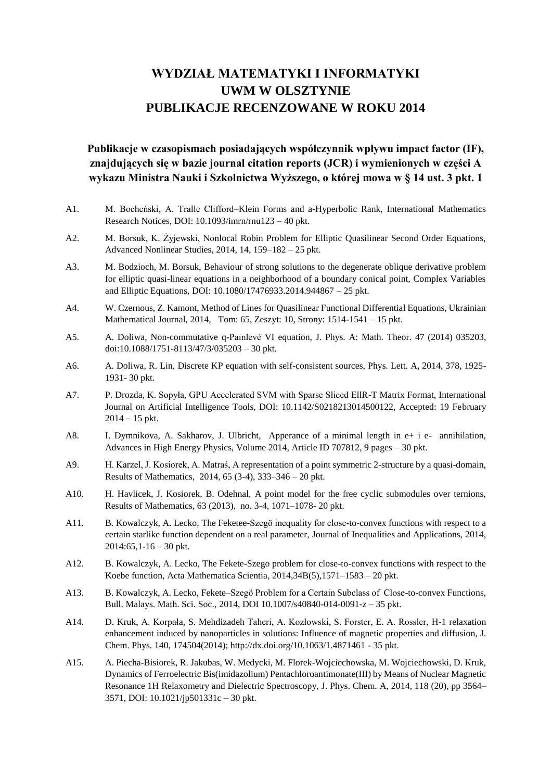# **WYDZIAŁ MATEMATYKI I INFORMATYKI UWM W OLSZTYNIE PUBLIKACJE RECENZOWANE W ROKU 2014**

**Publikacje w czasopismach posiadających współczynnik wpływu impact factor (IF), znajdujących się w bazie journal citation reports (JCR) i wymienionych w części A wykazu Ministra Nauki i Szkolnictwa Wyższego, o której mowa w § 14 ust. 3 pkt. 1**

- A1. M. Bocheński, A. Tralle Clifford–Klein Forms and a-Hyperbolic Rank, International Mathematics Research Notices, DOI: 10.1093/imrn/rnu123 – 40 pkt.
- A2. M. Borsuk, K. Żyjewski, Nonlocal Robin Problem for Elliptic Quasilinear Second Order Equations, Advanced Nonlinear Studies, 2014, 14, 159–182 – 25 pkt.
- A3. M. Bodzioch, M. Borsuk, Behaviour of strong solutions to the degenerate oblique derivative problem for elliptic quasi-linear equations in a neighborhood of a boundary conical point, Complex Variables and Elliptic Equations, DOI: 10.1080/17476933.2014.944867 – 25 pkt.
- A4. W. Czernous, Z. Kamont, Method of Lines for Quasilinear Functional Differential Equations, Ukrainian Mathematical Journal, 2014, Tom: 65, Zeszyt: 10, Strony: 1514-1541 – 15 pkt.
- A5. A. Doliwa, Non-commutative q-Painlevé VI equation, J. Phys. A: Math. Theor. 47 (2014) 035203, doi:10.1088/1751-8113/47/3/035203 – 30 pkt.
- A6. A. Doliwa, R. Lin, Discrete KP equation with self-consistent sources, Phys. Lett. A, 2014, 378, 1925- 1931- 30 pkt.
- A7. P. Drozda, K. Sopyła, GPU Accelerated SVM with Sparse Sliced EllR-T Matrix Format, International Journal on Artificial Intelligence Tools, DOI: 10.1142/S0218213014500122, Accepted: 19 February  $2014 - 15$  pkt.
- A8. I. Dymnikova, A. Sakharov, J. Ulbricht, Apperance of a minimal length in e+ i e- annihilation, Advances in High Energy Physics, Volume 2014, Article ID 707812, 9 pages – 30 pkt.
- A9. H. Karzel, J. Kosiorek, A. Matraś, A representation of a point symmetric 2-structure by a quasi-domain, Results of Mathematics, 2014, 65 (3-4), 333–346 – 20 pkt.
- A10. H. Havlicek, J. Kosiorek, B. Odehnal, A point model for the free cyclic submodules over ternions, Results of Mathematics, 63 (2013), no. 3-4, 1071–1078- 20 pkt.
- A11. B. Kowalczyk, A. Lecko, The Feketee-Szegö inequality for close-to-convex functions with respect to a certain starlike function dependent on a real parameter, Journal of Inequalities and Applications, 2014,  $2014:65$ ,  $1-16-30$  pkt.
- A12. B. Kowalczyk, A. Lecko, The Fekete-Szego problem for close-to-convex functions with respect to the Koebe function, Acta Mathematica Scientia, 2014,34B(5),1571–1583 – 20 pkt.
- A13. B. Kowalczyk, A. Lecko, Fekete–Szegö Problem for a Certain Subclass of Close-to-convex Functions, Bull. Malays. Math. Sci. Soc., 2014, DOI 10.1007/s40840-014-0091-z – 35 pkt.
- A14. D. Kruk, A. Korpała, S. Mehdizadeh Taheri, A. Kozłowski, S. Forster, E. A. Rossler, [H-1 relaxation](http://apps.webofknowledge.com/full_record.do?product=UA&search_mode=GeneralSearch&qid=1&SID=W2aKUTruHovcx3MfiEW&page=1&doc=5&cacheurlFromRightClick=no)  [enhancement induced by nanoparticles in solutions: Influence of magnetic properties and diffusion,](http://apps.webofknowledge.com/full_record.do?product=UA&search_mode=GeneralSearch&qid=1&SID=W2aKUTruHovcx3MfiEW&page=1&doc=5&cacheurlFromRightClick=no) J. Chem. Phys. 140, 174504(2014); http://dx.doi.org/10.1063/1.4871461 - 35 pkt.
- A15. A. Piecha-Bisiorek, R. Jakubas, W. Medycki, M. Florek-Wojciechowska, M. Wojciechowski, D. Kruk, Dynamics of Ferroelectric Bis(imidazolium) Pentachloroantimonate(III) by Means of Nuclear Magnetic Resonance 1H Relaxometry and Dielectric Spectroscopy, J. Phys. Chem. A, 2014, 118 (20), pp 3564– 3571, DOI: 10.1021/jp501331c – 30 pkt.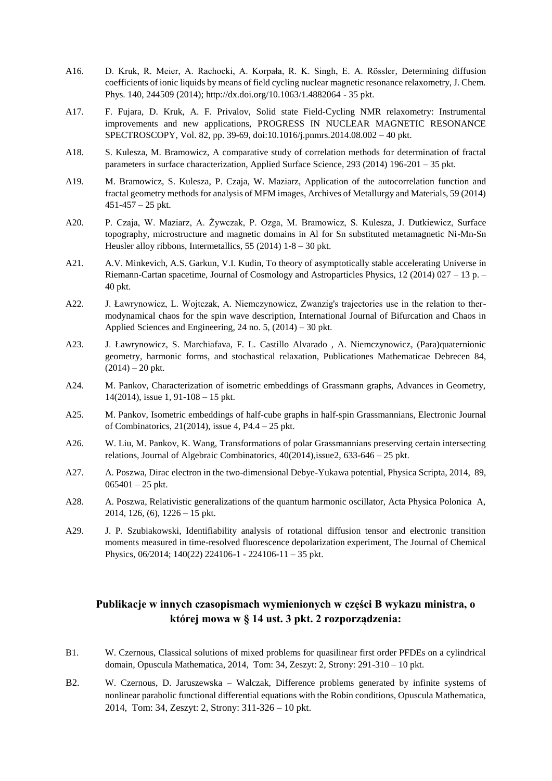- A16. D. Kruk, R. Meier, A. Rachocki, A. Korpała, R. K. Singh, E. A. Rössler, Determining diffusion coefficients of ionic liquids by means of field cycling nuclear magnetic resonance relaxometry, J. Chem. Phys. 140, 244509 (2014); http://dx.doi.org/10.1063/1.4882064 - 35 pkt.
- A17. F. Fujara, D. Kruk, A. F. Privalov, Solid state Field-Cycling NMR relaxometry: Instrumental improvements and new applications, PROGRESS IN NUCLEAR MAGNETIC RESONANCE SPECTROSCOPY, Vol. 82, pp. 39-69, doi:10.1016/j.pnmrs.2014.08.002 – 40 pkt.
- A18. S. Kulesza, M. Bramowicz, A comparative study of correlation methods for determination of fractal parameters in surface characterization, Applied Surface Science, 293 (2014) 196-201 – 35 pkt.
- A19. M. Bramowicz, S. Kulesza, P. Czaja, W. Maziarz, Application of the autocorrelation function and fractal geometry methods for analysis of MFM images, Archives of Metallurgy and Materials, 59 (2014)  $451-457-25$  pkt.
- A20. P. Czaja, W. Maziarz, A. Żywczak, P. Ozga, M. Bramowicz, S. Kulesza, J. Dutkiewicz, Surface topography, microstructure and magnetic domains in Al for Sn substituted metamagnetic Ni-Mn-Sn Heusler alloy ribbons, Intermetallics, 55 (2014) 1-8 – 30 pkt.
- A21. A.V. Minkevich, A.S. Garkun, V.I. Kudin, To theory of asymptotically stable accelerating Universe in Riemann-Cartan spacetime, Journal of Cosmology and Astroparticles Physics, 12 (2014) 027 – 13 p. – 40 pkt.
- A22. J. Ławrynowicz, L. Wojtczak, A. Niemczynowicz, Zwanzig's trajectories use in the relation to thermodynamical chaos for the spin wave description, International Journal of Bifurcation and Chaos in Applied Sciences and Engineering, 24 no. 5, (2014) – 30 pkt.
- A23. J. Ławrynowicz, S. Marchiafava, F. L. Castillo Alvarado , A. Niemczynowicz, (Para)quaternionic geometry, harmonic forms, and stochastical relaxation, Publicationes Mathematicae Debrecen 84,  $(2014) - 20$  pkt.
- A24. M. Pankov, Characterization of isometric embeddings of Grassmann graphs, Advances in Geometry, 14(2014), issue 1, 91-108 – 15 pkt.
- A25. M. Pankov, Isometric embeddings of half-cube graphs in half-spin Grassmannians, Electronic Journal of Combinatorics, 21(2014), issue 4, P4.4 – 25 pkt.
- A26. W. Liu, M. Pankov, K. Wang, Transformations of polar Grassmannians preserving certain intersecting relations, Journal of Algebraic Combinatorics,  $40(2014)$ , issue 2,  $633-646-25$  pkt.
- A27. A. Poszwa, Dirac electron in the two-dimensional Debye-Yukawa potential, Physica Scripta, 2014, 89,  $065401 - 25$  pkt.
- A28. A. Poszwa, Relativistic generalizations of the quantum harmonic oscillator, Acta Physica Polonica A, 2014, 126, (6), 1226 – 15 pkt.
- A29. J. P. Szubiakowski, Identifiability analysis of rotational diffusion tensor and electronic transition moments measured in time-resolved fluorescence depolarization experiment, The Journal of Chemical Physics, 06/2014; 140(22) 224106-1 - 224106-11 – 35 pkt.

## **Publikacje w innych czasopismach wymienionych w części B wykazu ministra, o której mowa w § 14 ust. 3 pkt. 2 rozporządzenia:**

- B1. W. Czernous, Classical solutions of mixed problems for quasilinear first order PFDEs on a cylindrical domain, Opuscula Mathematica, 2014, Tom: 34, Zeszyt: 2, Strony: 291-310 – 10 pkt.
- B2. W. Czernous, D. Jaruszewska Walczak, Difference problems generated by infinite systems of nonlinear parabolic functional differential equations with the Robin conditions, Opuscula Mathematica, 2014, Tom: 34, Zeszyt: 2, Strony: 311-326 – 10 pkt.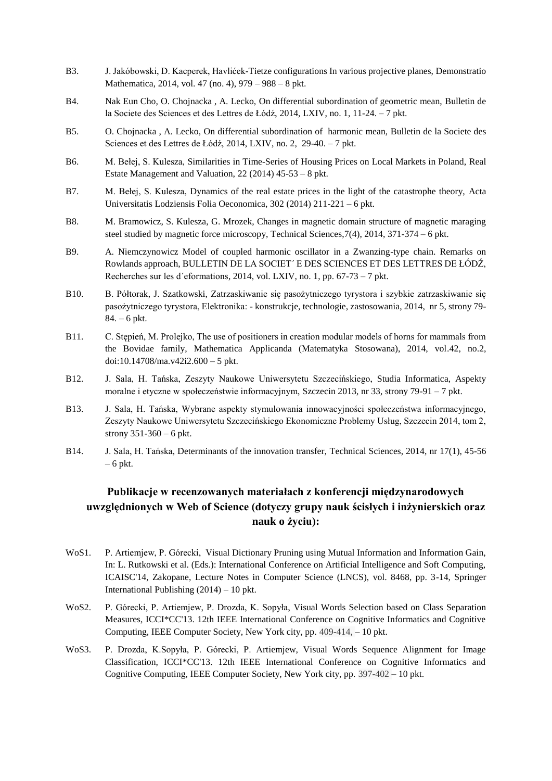- B3. J. Jakóbowski, D. Kacperek, Havlićek-Tietze configurations In various projective planes, Demonstratio Mathematica, 2014, vol. 47 (no. 4), 979 – 988 – 8 pkt.
- B4. Nak Eun Cho, O. Chojnacka , A. Lecko, On differential subordination of geometric mean, Bulletin de la Societe des Sciences et des Lettres de Łódź, 2014, LXIV, no. 1, 11-24. – 7 pkt.
- B5. O. Chojnacka , A. Lecko, On differential subordination of harmonic mean, Bulletin de la Societe des Sciences et des Lettres de Łódź, 2014, LXIV, no. 2, 29-40. – 7 pkt.
- B6. M. Bełej, S. Kulesza, Similarities in Time-Series of Housing Prices on Local Markets in Poland, Real Estate Management and Valuation, 22 (2014) 45-53 – 8 pkt.
- B7. M. Bełej, S. Kulesza, Dynamics of the real estate prices in the light of the catastrophe theory, Acta Universitatis Lodziensis Folia Oeconomica, 302 (2014) 211-221 – 6 pkt.
- B8. M. Bramowicz, S. Kulesza, G. Mrozek, Changes in magnetic domain structure of magnetic maraging steel studied by magnetic force microscopy, Technical Sciences,7(4), 2014, 371-374 – 6 pkt.
- B9. A. Niemczynowicz Model of coupled harmonic oscillator in a Zwanzing-type chain. Remarks on Rowlands approach, BULLETIN DE LA SOCIET´ E DES SCIENCES ET DES LETTRES DE ŁÓDŹ, Recherches sur les d´eformations, 2014, vol. LXIV, no. 1, pp. 67-73 – 7 pkt.
- B10. [B. Półtorak,](http://sigma-not.pl/autor-84089-0-bartlomiej-poltorak.html) [J. Szatkowski,](http://sigma-not.pl/autor-84089-1-jacek-szatkowski-.html) Zatrzaskiwanie się pasożytniczego tyrystora i szybkie zatrzaskiwanie się pasożytniczego tyrystora, Elektronika: - konstrukcje, technologie, zastosowania, 2014, nr 5, strony 79- 84. – 6 pkt.
- B11. C. Stępień, M. Prolejko, The use of positioners in creation modular models of horns for mammals from the Bovidae family, Mathematica Applicanda (Matematyka Stosowana), 2014, vol.42, no.2, doi:10.14708/ma.v42i2.600 – 5 pkt.
- B12. J. Sala, H. Tańska, Zeszyty Naukowe Uniwersytetu Szczecińskiego, Studia Informatica, Aspekty moralne i etyczne w społeczeństwie informacyjnym, Szczecin 2013, nr 33, strony 79-91 – 7 pkt.
- B13. J. Sala, H. Tańska, Wybrane aspekty stymulowania innowacyjności społeczeństwa informacyjnego, Zeszyty Naukowe Uniwersytetu Szczecińskiego Ekonomiczne Problemy Usług, Szczecin 2014, tom 2, strony 351-360 – 6 pkt.
- B14. J. Sala, H. Tańska, Determinants of the innovation transfer, Technical Sciences, 2014, nr 17(1), 45-56 – 6 pkt.

## **Publikacje w recenzowanych materiałach z konferencji międzynarodowych uwzględnionych w Web of Science (dotyczy grupy nauk ścisłych i inżynierskich oraz nauk o życiu):**

- WoS1. P. Artiemjew, P. Górecki, Visual Dictionary Pruning using Mutual Information and Information Gain, In: L. Rutkowski et al. (Eds.): International Conference on Artificial Intelligence and Soft Computing, ICAISC'14, Zakopane, Lecture Notes in Computer Science (LNCS), vol. 8468, pp. 3-14, Springer International Publishing (2014) – 10 pkt.
- WoS2. P. Górecki, P. Artiemjew, P. Drozda, K. Sopyła, Visual Words Selection based on Class Separation Measures, ICCI\*CC'13. 12th IEEE International Conference on Cognitive Informatics and Cognitive Computing, IEEE Computer Society, New York city, pp. 409-414, – 10 pkt.
- WoS3. P. Drozda, K.Sopyła, P. Górecki, P. Artiemjew, Visual Words Sequence Alignment for Image Classification, ICCI\*CC'13. 12th IEEE International Conference on Cognitive Informatics and Cognitive Computing, IEEE Computer Society, New York city, pp. 397-402 – 10 pkt.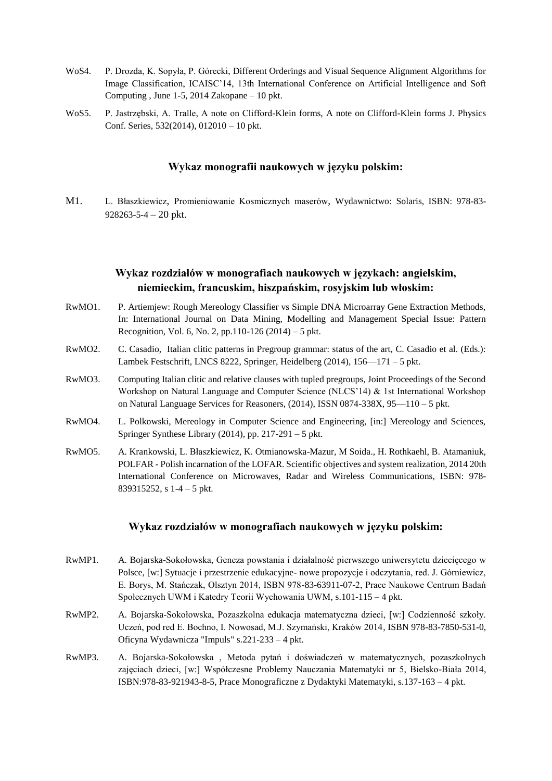- WoS4. P. Drozda, K. Sopyła, P. Górecki, Different Orderings and Visual Sequence Alignment Algorithms for Image Classification, ICAISC'14, 13th International Conference on Artificial Intelligence and Soft Computing , June 1-5, 2014 Zakopane – 10 pkt.
- WoS5. P. Jastrzębski, A. Tralle, A note on Clifford-Klein forms, A note on Clifford-Klein forms J. Physics Conf. Series, 532(2014), 012010 – 10 pkt.

#### **Wykaz monografii naukowych w języku polskim:**

M1. L. Błaszkiewicz, Promieniowanie Kosmicznych maserów, Wydawnictwo: Solaris, ISBN: 978-83- 928263-5-4 – 20 pkt.

### **Wykaz rozdziałów w monografiach naukowych w językach: angielskim, niemieckim, francuskim, hiszpańskim, rosyjskim lub włoskim:**

- RwMO1. P. Artiemjew: Rough Mereology Classifier vs Simple DNA Microarray Gene Extraction Methods, In: International Journal on Data Mining, Modelling and Management Special Issue: Pattern Recognition, Vol. 6, No. 2, pp.110-126 (2014) – 5 pkt.
- RwMO2. C. Casadio, Italian clitic patterns in Pregroup grammar: status of the art, C. Casadio et al. (Eds.): Lambek Festschrift, LNCS 8222, Springer, Heidelberg (2014), 156—171 – 5 pkt.
- RwMO3. Computing Italian clitic and relative clauses with tupled pregroups, Joint Proceedings of the Second Workshop on Natural Language and Computer Science (NLCS'14) & 1st International Workshop on Natural Language Services for Reasoners,  $(2014)$ , ISSN 0874-338X, 95-110 – 5 pkt.
- RwMO4. L. Polkowski, Mereology in Computer Science and Engineering, [in:] Mereology and Sciences, Springer Synthese Library  $(2014)$ , pp. 217-291 – 5 pkt.
- RwMO5. A. Krankowski, L. Błaszkiewicz, K. Otmianowska-Mazur, M Soida., H. Rothkaehl, B. Atamaniuk, POLFAR - Polish incarnation of the LOFAR. Scientific objectives and system realization, 2014 20th International Conference on Microwaves, Radar and Wireless Communications, ISBN: 978- 839315252, s 1-4 – 5 pkt.

#### **Wykaz rozdziałów w monografiach naukowych w języku polskim:**

- RwMP1. A. Bojarska-Sokołowska, Geneza powstania i działalność pierwszego uniwersytetu dziecięcego w Polsce, [w:] Sytuacje i przestrzenie edukacyjne- nowe propozycje i odczytania, red. J. Górniewicz, E. Borys, M. Stańczak, Olsztyn 2014, ISBN 978-83-63911-07-2, Prace Naukowe Centrum Badań Społecznych UWM i Katedry Teorii Wychowania UWM, s.101-115 – 4 pkt.
- RwMP2. A. Bojarska-Sokołowska, Pozaszkolna edukacja matematyczna dzieci, [w:] Codzienność szkoły. Uczeń, pod red E. Bochno, I. Nowosad, M.J. Szymański, Kraków 2014, ISBN 978-83-7850-531-0, Oficyna Wydawnicza "Impuls" s.221-233 – 4 pkt.
- RwMP3. A. Bojarska-Sokołowska , Metoda pytań i doświadczeń w matematycznych, pozaszkolnych zajęciach dzieci, [w:] Współczesne Problemy Nauczania Matematyki nr 5, Bielsko-Biała 2014, ISBN:978-83-921943-8-5, Prace Monograficzne z Dydaktyki Matematyki, s.137-163 – 4 pkt.